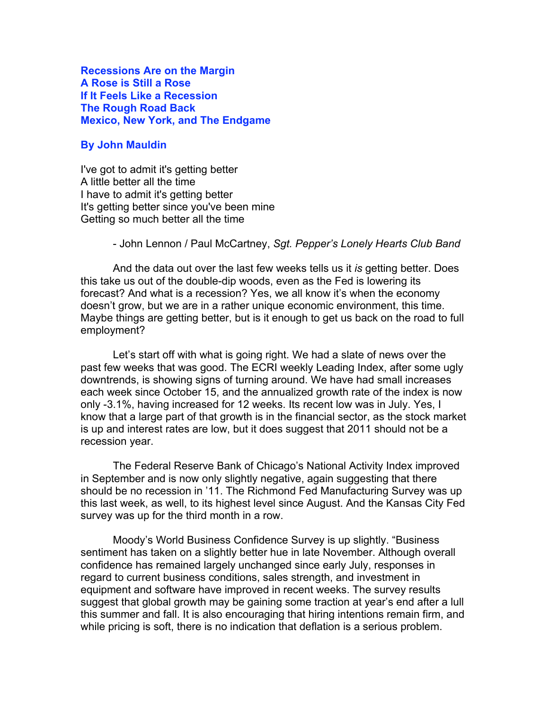**Recessions Are on the Margin A Rose is Still a Rose If It Feels Like a Recession The Rough Road Back Mexico, New York, and The Endgame**

# **By John Mauldin**

I've got to admit it's getting better A little better all the time I have to admit it's getting better It's getting better since you've been mine Getting so much better all the time

## - John Lennon / Paul McCartney, *Sgt. Pepper's Lonely Hearts Club Band*

And the data out over the last few weeks tells us it *is* getting better. Does this take us out of the double-dip woods, even as the Fed is lowering its forecast? And what is a recession? Yes, we all know it's when the economy doesn't grow, but we are in a rather unique economic environment, this time. Maybe things are getting better, but is it enough to get us back on the road to full employment?

Let's start off with what is going right. We had a slate of news over the past few weeks that was good. The ECRI weekly Leading Index, after some ugly downtrends, is showing signs of turning around. We have had small increases each week since October 15, and the annualized growth rate of the index is now only -3.1%, having increased for 12 weeks. Its recent low was in July. Yes, I know that a large part of that growth is in the financial sector, as the stock market is up and interest rates are low, but it does suggest that 2011 should not be a recession year.

The Federal Reserve Bank of Chicago's National Activity Index improved in September and is now only slightly negative, again suggesting that there should be no recession in '11. The Richmond Fed Manufacturing Survey was up this last week, as well, to its highest level since August. And the Kansas City Fed survey was up for the third month in a row.

Moody's World Business Confidence Survey is up slightly. "Business sentiment has taken on a slightly better hue in late November. Although overall confidence has remained largely unchanged since early July, responses in regard to current business conditions, sales strength, and investment in equipment and software have improved in recent weeks. The survey results suggest that global growth may be gaining some traction at year's end after a lull this summer and fall. It is also encouraging that hiring intentions remain firm, and while pricing is soft, there is no indication that deflation is a serious problem.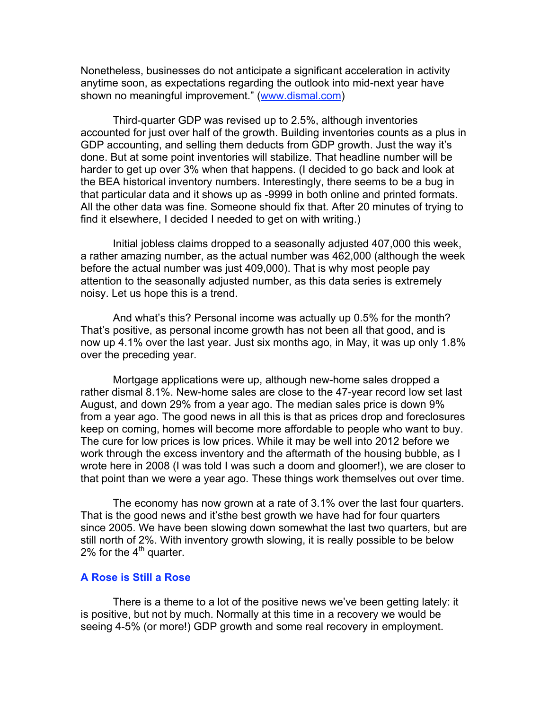Nonetheless, businesses do not anticipate a significant acceleration in activity anytime soon, as expectations regarding the outlook into mid-next year have shown no meaningful improvement." (www.dismal.com)

Third-quarter GDP was revised up to 2.5%, although inventories accounted for just over half of the growth. Building inventories counts as a plus in GDP accounting, and selling them deducts from GDP growth. Just the way it's done. But at some point inventories will stabilize. That headline number will be harder to get up over 3% when that happens. (I decided to go back and look at the BEA historical inventory numbers. Interestingly, there seems to be a bug in that particular data and it shows up as -9999 in both online and printed formats. All the other data was fine. Someone should fix that. After 20 minutes of trying to find it elsewhere, I decided I needed to get on with writing.)

Initial jobless claims dropped to a seasonally adjusted 407,000 this week, a rather amazing number, as the actual number was 462,000 (although the week before the actual number was just 409,000). That is why most people pay attention to the seasonally adjusted number, as this data series is extremely noisy. Let us hope this is a trend.

And what's this? Personal income was actually up 0.5% for the month? That's positive, as personal income growth has not been all that good, and is now up 4.1% over the last year. Just six months ago, in May, it was up only 1.8% over the preceding year.

Mortgage applications were up, although new-home sales dropped a rather dismal 8.1%. New-home sales are close to the 47-year record low set last August, and down 29% from a year ago. The median sales price is down 9% from a year ago. The good news in all this is that as prices drop and foreclosures keep on coming, homes will become more affordable to people who want to buy. The cure for low prices is low prices. While it may be well into 2012 before we work through the excess inventory and the aftermath of the housing bubble, as I wrote here in 2008 (I was told I was such a doom and gloomer!), we are closer to that point than we were a year ago. These things work themselves out over time.

The economy has now grown at a rate of 3.1% over the last four quarters. That is the good news and it'sthe best growth we have had for four quarters since 2005. We have been slowing down somewhat the last two quarters, but are still north of 2%. With inventory growth slowing, it is really possible to be below 2% for the  $4<sup>th</sup>$  quarter.

### **A Rose is Still a Rose**

There is a theme to a lot of the positive news we've been getting lately: it is positive, but not by much. Normally at this time in a recovery we would be seeing 4-5% (or more!) GDP growth and some real recovery in employment.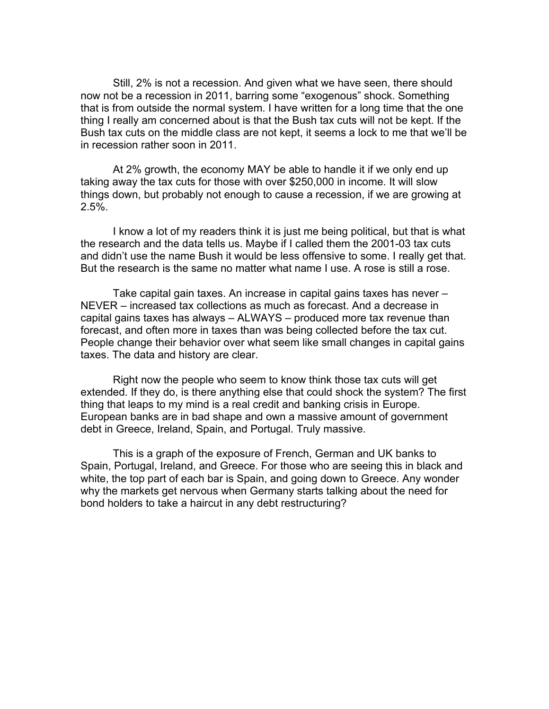Still, 2% is not a recession. And given what we have seen, there should now not be a recession in 2011, barring some "exogenous" shock. Something that is from outside the normal system. I have written for a long time that the one thing I really am concerned about is that the Bush tax cuts will not be kept. If the Bush tax cuts on the middle class are not kept, it seems a lock to me that we'll be in recession rather soon in 2011.

At 2% growth, the economy MAY be able to handle it if we only end up taking away the tax cuts for those with over \$250,000 in income. It will slow things down, but probably not enough to cause a recession, if we are growing at  $2.5%$ .

I know a lot of my readers think it is just me being political, but that is what the research and the data tells us. Maybe if I called them the 2001-03 tax cuts and didn't use the name Bush it would be less offensive to some. I really get that. But the research is the same no matter what name I use. A rose is still a rose.

Take capital gain taxes. An increase in capital gains taxes has never – NEVER – increased tax collections as much as forecast. And a decrease in capital gains taxes has always – ALWAYS – produced more tax revenue than forecast, and often more in taxes than was being collected before the tax cut. People change their behavior over what seem like small changes in capital gains taxes. The data and history are clear.

Right now the people who seem to know think those tax cuts will get extended. If they do, is there anything else that could shock the system? The first thing that leaps to my mind is a real credit and banking crisis in Europe. European banks are in bad shape and own a massive amount of government debt in Greece, Ireland, Spain, and Portugal. Truly massive.

This is a graph of the exposure of French, German and UK banks to Spain, Portugal, Ireland, and Greece. For those who are seeing this in black and white, the top part of each bar is Spain, and going down to Greece. Any wonder why the markets get nervous when Germany starts talking about the need for bond holders to take a haircut in any debt restructuring?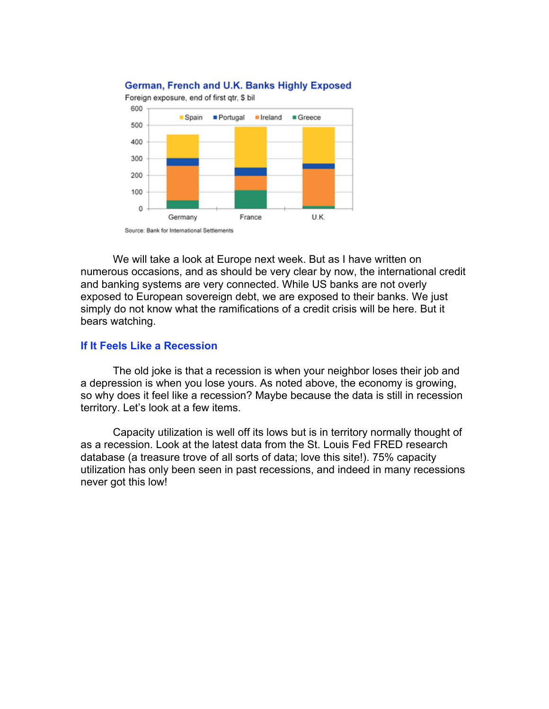

#### German, French and U.K. Banks Highly Exposed

We will take a look at Europe next week. But as I have written on numerous occasions, and as should be very clear by now, the international credit and banking systems are very connected. While US banks are not overly exposed to European sovereign debt, we are exposed to their banks. We just simply do not know what the ramifications of a credit crisis will be here. But it bears watching.

# **If It Feels Like a Recession**

The old joke is that a recession is when your neighbor loses their job and a depression is when you lose yours. As noted above, the economy is growing, so why does it feel like a recession? Maybe because the data is still in recession territory. Let's look at a few items.

Capacity utilization is well off its lows but is in territory normally thought of as a recession. Look at the latest data from the St. Louis Fed FRED research database (a treasure trove of all sorts of data; love this site!). 75% capacity utilization has only been seen in past recessions, and indeed in many recessions never got this low!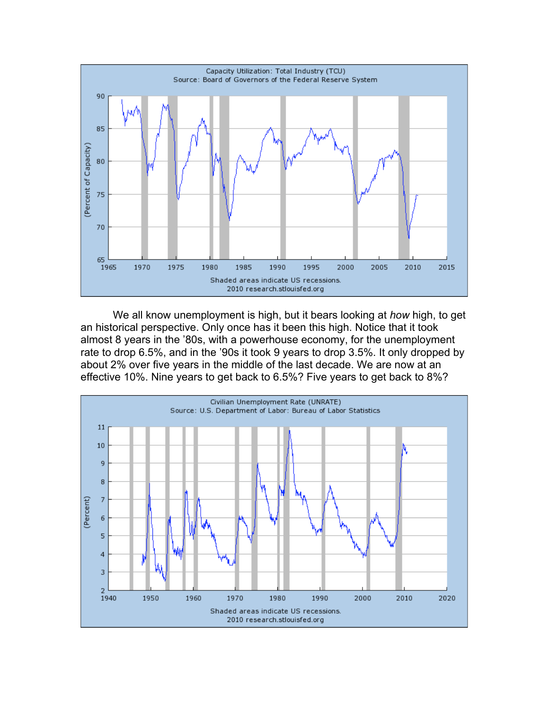

We all know unemployment is high, but it bears looking at *how* high, to get an historical perspective. Only once has it been this high. Notice that it took almost 8 years in the '80s, with a powerhouse economy, for the unemployment rate to drop 6.5%, and in the '90s it took 9 years to drop 3.5%. It only dropped by about 2% over five years in the middle of the last decade. We are now at an effective 10%. Nine years to get back to 6.5%? Five years to get back to 8%?

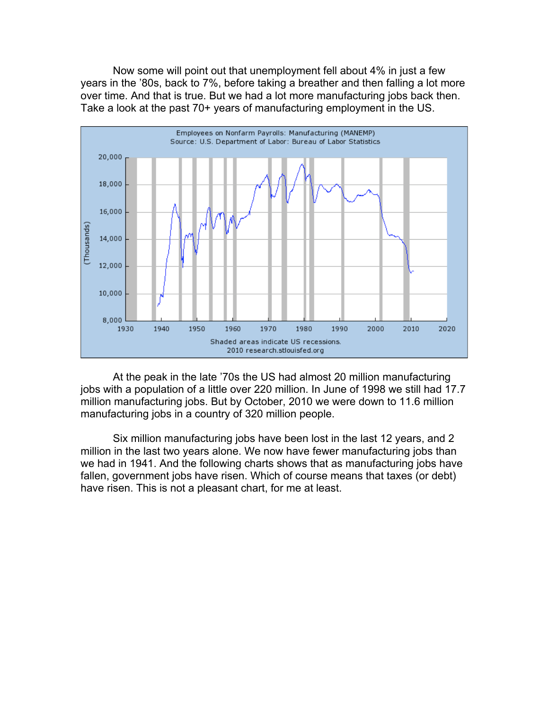Now some will point out that unemployment fell about 4% in just a few years in the '80s, back to 7%, before taking a breather and then falling a lot more over time. And that is true. But we had a lot more manufacturing jobs back then. Take a look at the past 70+ years of manufacturing employment in the US.



At the peak in the late '70s the US had almost 20 million manufacturing jobs with a population of a little over 220 million. In June of 1998 we still had 17.7 million manufacturing jobs. But by October, 2010 we were down to 11.6 million manufacturing jobs in a country of 320 million people.

Six million manufacturing jobs have been lost in the last 12 years, and 2 million in the last two years alone. We now have fewer manufacturing jobs than we had in 1941. And the following charts shows that as manufacturing jobs have fallen, government jobs have risen. Which of course means that taxes (or debt) have risen. This is not a pleasant chart, for me at least.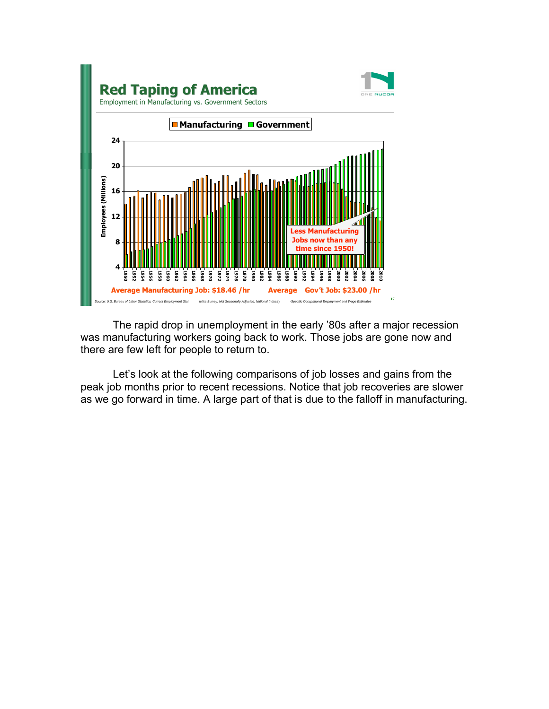



**Manufacturing Government** Employees (Millions) **Employees (Millions) Manufacturing Jobs now than any time since 1950! Average Manufacturing Job: \$18.46 /hr** *Source: U.S. Bureau of Labor Statistics, Current Employment Stat istics Survey, Not Seasonally Adjusted; National Industry -Specific Occupational Employment and Wage Estimates*

The rapid drop in unemployment in the early '80s after a major recession was manufacturing workers going back to work. Those jobs are gone now and there are few left for people to return to.

Let's look at the following comparisons of job losses and gains from the peak job months prior to recent recessions. Notice that job recoveries are slower as we go forward in time. A large part of that is due to the falloff in manufacturing.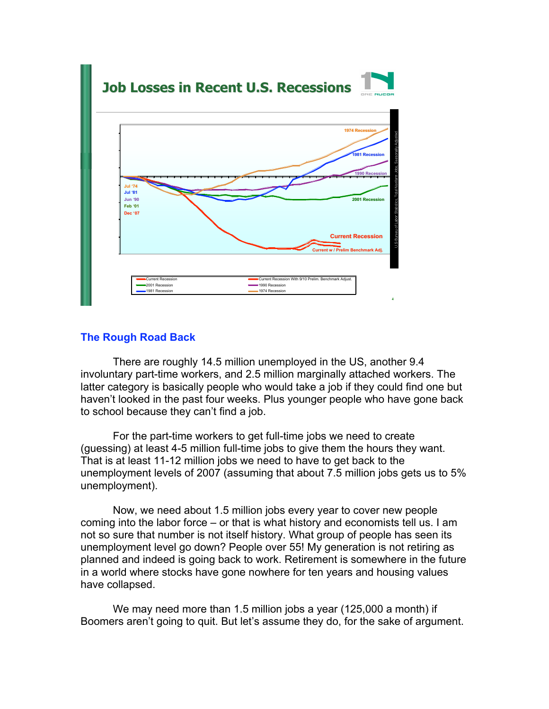

# **The Rough Road Back**

There are roughly 14.5 million unemployed in the US, another 9.4 involuntary part-time workers, and 2.5 million marginally attached workers. The latter category is basically people who would take a job if they could find one but haven't looked in the past four weeks. Plus younger people who have gone back to school because they can't find a job.

For the part-time workers to get full-time jobs we need to create (guessing) at least 4-5 million full-time jobs to give them the hours they want. That is at least 11-12 million jobs we need to have to get back to the unemployment levels of 2007 (assuming that about 7.5 million jobs gets us to 5% unemployment).

Now, we need about 1.5 million jobs every year to cover new people coming into the labor force – or that is what history and economists tell us. I am not so sure that number is not itself history. What group of people has seen its unemployment level go down? People over 55! My generation is not retiring as planned and indeed is going back to work. Retirement is somewhere in the future in a world where stocks have gone nowhere for ten years and housing values have collapsed.

We may need more than 1.5 million jobs a year (125,000 a month) if Boomers aren't going to quit. But let's assume they do, for the sake of argument.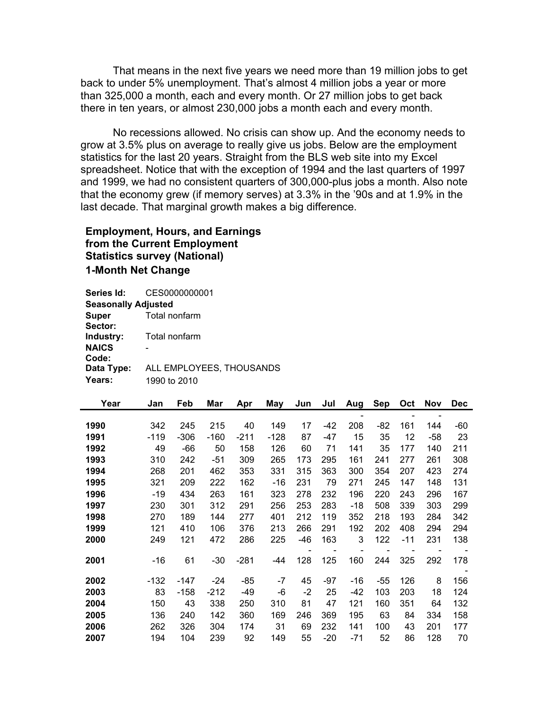That means in the next five years we need more than 19 million jobs to get back to under 5% unemployment. That's almost 4 million jobs a year or more than 325,000 a month, each and every month. Or 27 million jobs to get back there in ten years, or almost 230,000 jobs a month each and every month.

No recessions allowed. No crisis can show up. And the economy needs to grow at 3.5% plus on average to really give us jobs. Below are the employment statistics for the last 20 years. Straight from the BLS web site into my Excel spreadsheet. Notice that with the exception of 1994 and the last quarters of 1997 and 1999, we had no consistent quarters of 300,000-plus jobs a month. Also note that the economy grew (if memory serves) at 3.3% in the '90s and at 1.9% in the last decade. That marginal growth makes a big difference.

# **Employment, Hours, and Earnings from the Current Employment Statistics survey (National) 1-Month Net Change**

|                            | <b>Series Id: CES0000000001</b> |  |  |  |  |  |  |  |  |
|----------------------------|---------------------------------|--|--|--|--|--|--|--|--|
| <b>Seasonally Adjusted</b> |                                 |  |  |  |  |  |  |  |  |
| <b>Super</b>               | Total nonfarm                   |  |  |  |  |  |  |  |  |
| Sector:                    |                                 |  |  |  |  |  |  |  |  |
| Industry:                  | Total nonfarm                   |  |  |  |  |  |  |  |  |
| <b>NAICS</b>               |                                 |  |  |  |  |  |  |  |  |
| Code:                      |                                 |  |  |  |  |  |  |  |  |
| Data Type:                 | ALL EMPLOYEES, THOUSANDS        |  |  |  |  |  |  |  |  |
| Years:                     | 1990 to 2010                    |  |  |  |  |  |  |  |  |

| Year | Jan    | Feb    | Mar    | Apr    | May    | Jun   | Jul   | Aug   | Sep   | Oct | Nov   | <b>Dec</b> |
|------|--------|--------|--------|--------|--------|-------|-------|-------|-------|-----|-------|------------|
|      |        |        |        |        |        |       |       |       |       |     |       |            |
| 1990 | 342    | 245    | 215    | 40     | 149    | 17    | -42   | 208   | -82   | 161 | 144   | -60        |
| 1991 | $-119$ | $-306$ | $-160$ | -211   | $-128$ | 87    | -47   | 15    | 35    | 12  | $-58$ | 23         |
| 1992 | 49     | $-66$  | 50     | 158    | 126    | 60    | 71    | 141   | 35    | 177 | 140   | 211        |
| 1993 | 310    | 242    | -51    | 309    | 265    | 173   | 295   | 161   | 241   | 277 | 261   | 308        |
| 1994 | 268    | 201    | 462    | 353    | 331    | 315   | 363   | 300   | 354   | 207 | 423   | 274        |
| 1995 | 321    | 209    | 222    | 162    | -16    | 231   | 79    | 271   | 245   | 147 | 148   | 131        |
| 1996 | $-19$  | 434    | 263    | 161    | 323    | 278   | 232   | 196   | 220   | 243 | 296   | 167        |
| 1997 | 230    | 301    | 312    | 291    | 256    | 253   | 283   | -18   | 508   | 339 | 303   | 299        |
| 1998 | 270    | 189    | 144    | 277    | 401    | 212   | 119   | 352   | 218   | 193 | 284   | 342        |
| 1999 | 121    | 410    | 106    | 376    | 213    | 266   | 291   | 192   | 202   | 408 | 294   | 294        |
| 2000 | 249    | 121    | 472    | 286    | 225    | $-46$ | 163   | 3     | 122   | -11 | 231   | 138        |
|      |        |        |        |        |        |       |       |       |       |     |       |            |
| 2001 | $-16$  | 61     | $-30$  | $-281$ | -44    | 128   | 125   | 160   | 244   | 325 | 292   | 178        |
|      |        |        |        |        |        |       |       |       |       |     |       |            |
| 2002 | $-132$ | $-147$ | -24    | $-85$  | $-7$   | 45    | $-97$ | -16   | $-55$ | 126 | 8     | 156        |
| 2003 | 83     | $-158$ | $-212$ | $-49$  | -6     | $-2$  | 25    | $-42$ | 103   | 203 | 18    | 124        |
| 2004 | 150    | 43     | 338    | 250    | 310    | 81    | 47    | 121   | 160   | 351 | 64    | 132        |
| 2005 | 136    | 240    | 142    | 360    | 169    | 246   | 369   | 195   | 63    | 84  | 334   | 158        |
| 2006 | 262    | 326    | 304    | 174    | 31     | 69    | 232   | 141   | 100   | 43  | 201   | 177        |
| 2007 | 194    | 104    | 239    | 92     | 149    | 55    | $-20$ | $-71$ | 52    | 86  | 128   | 70         |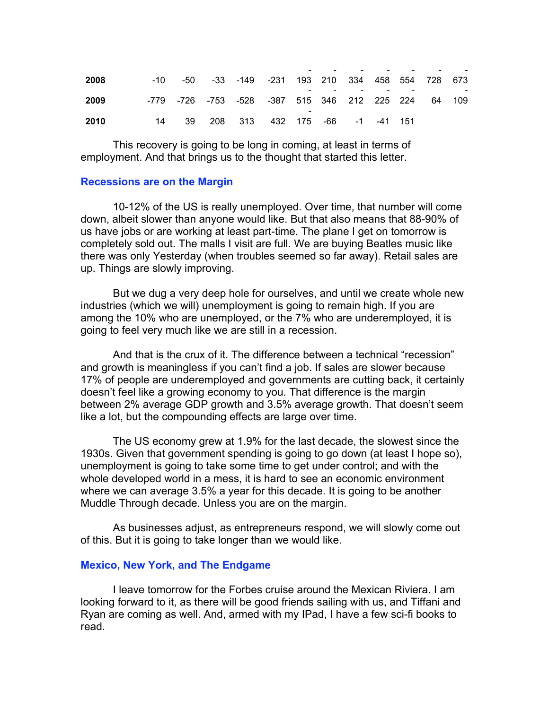| 2008 | -10 | -50 |  | -33 -149 -231 193 210 334 458 554 728 673    |  |  |  |        |
|------|-----|-----|--|----------------------------------------------|--|--|--|--------|
| 2009 |     |     |  | -779 -726 -753 -528 -387 515 346 212 225 224 |  |  |  | 64 109 |
| 2010 | 14  |     |  | 39 208 313 432 175 -66 -1 -41 151            |  |  |  |        |

This recovery is going to be long in coming, at least in terms of employment. And that brings us to the thought that started this letter.

## **Recessions are on the Margin**

10-12% of the US is really unemployed. Over time, that number will come down, albeit slower than anyone would like. But that also means that 88-90% of us have jobs or are working at least part-time. The plane I get on tomorrow is completely sold out. The malls I visit are full. We are buying Beatles music like there was only Yesterday (when troubles seemed so far away). Retail sales are up. Things are slowly improving.

But we dug a very deep hole for ourselves, and until we create whole new industries (which we will) unemployment is going to remain high. If you are among the 10% who are unemployed, or the 7% who are underemployed, it is going to feel very much like we are still in a recession.

And that is the crux of it. The difference between a technical "recession" and growth is meaningless if you can't find a job. If sales are slower because 17% of people are underemployed and governments are cutting back, it certainly doesn't feel like a growing economy to you. That difference is the margin between 2% average GDP growth and 3.5% average growth. That doesn't seem like a lot, but the compounding effects are large over time.

The US economy grew at 1.9% for the last decade, the slowest since the 1930s. Given that government spending is going to go down (at least I hope so), unemployment is going to take some time to get under control; and with the whole developed world in a mess, it is hard to see an economic environment where we can average 3.5% a year for this decade. It is going to be another Muddle Through decade. Unless you are on the margin.

As businesses adjust, as entrepreneurs respond, we will slowly come out of this. But it is going to take longer than we would like.

#### **Mexico, New York, and The Endgame**

I leave tomorrow for the Forbes cruise around the Mexican Riviera. I am looking forward to it, as there will be good friends sailing with us, and Tiffani and Ryan are coming as well. And, armed with my IPad, I have a few sci-fi books to read.